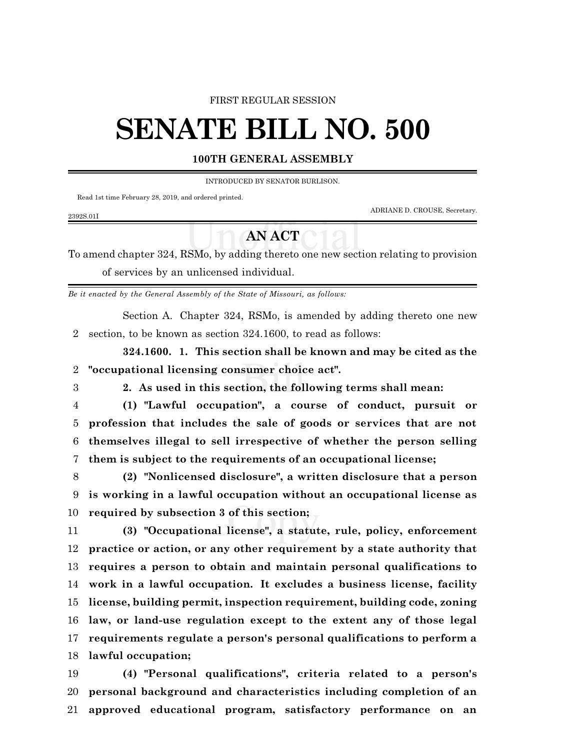### FIRST REGULAR SESSION

# **SENATE BILL NO. 500**

## **100TH GENERAL ASSEMBLY**

INTRODUCED BY SENATOR BURLISON.

Read 1st time February 28, 2019, and ordered printed.

ADRIANE D. CROUSE, Secretary.

# **AN ACT**

To amend chapter 324, RSMo, by adding thereto one new section relating to provision of services by an unlicensed individual.

*Be it enacted by the General Assembly of the State of Missouri, as follows:*

Section A. Chapter 324, RSMo, is amended by adding thereto one new section, to be known as section 324.1600, to read as follows:

**324.1600. 1. This section shall be known and may be cited as the "occupational licensing consumer choice act".**

2392S.01I

**2. As used in this section, the following terms shall mean:**

- **(1) "Lawful occupation", a course of conduct, pursuit or profession that includes the sale of goods or services that are not themselves illegal to sell irrespective of whether the person selling them is subject to the requirements of an occupational license;**
- **(2) "Nonlicensed disclosure", a written disclosure that a person is working in a lawful occupation without an occupational license as required by subsection 3 of this section;**

 **(3) "Occupational license", a statute, rule, policy, enforcement practice or action, or any other requirement by a state authority that requires a person to obtain and maintain personal qualifications to work in a lawful occupation. It excludes a business license, facility license, building permit, inspection requirement, building code, zoning law, or land-use regulation except to the extent any of those legal requirements regulate a person's personal qualifications to perform a lawful occupation;**

 **(4) "Personal qualifications", criteria related to a person's personal background and characteristics including completion of an approved educational program, satisfactory performance on an**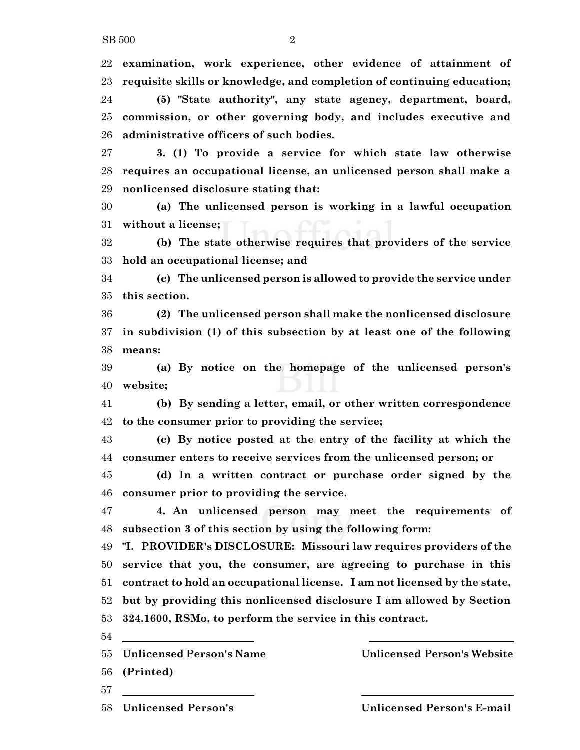**examination, work experience, other evidence of attainment of requisite skills or knowledge, and completion of continuing education;**

 **(5) "State authority", any state agency, department, board, commission, or other governing body, and includes executive and administrative officers of such bodies.**

 **3. (1) To provide a service for which state law otherwise requires an occupational license, an unlicensed person shall make a nonlicensed disclosure stating that:**

 **(a) The unlicensed person is working in a lawful occupation without a license;**

 **(b) The state otherwise requires that providers of the service hold an occupational license; and**

 **(c) The unlicensed person is allowed to provide the service under this section.**

 **(2) The unlicensed person shall make the nonlicensed disclosure in subdivision (1) of this subsection by at least one of the following means:**

 **(a) By notice on the homepage of the unlicensed person's website;**

 **(b) By sending a letter, email, or other written correspondence to the consumer prior to providing the service;**

 **(c) By notice posted at the entry of the facility at which the consumer enters to receive services from the unlicensed person; or**

 **(d) In a written contract or purchase order signed by the consumer prior to providing the service.**

 **4. An unlicensed person may meet the requirements of subsection 3 of this section by using the following form:**

 **"I. PROVIDER's DISCLOSURE: Missouri law requires providers of the service that you, the consumer, are agreeing to purchase in this contract to hold an occupational license. I am not licensed by the state, but by providing this nonlicensed disclosure I am allowed by Section 324.1600, RSMo, to perform the service in this contract.**

**Unlicensed Person's Name Unlicensed Person's Website**

**(Printed)**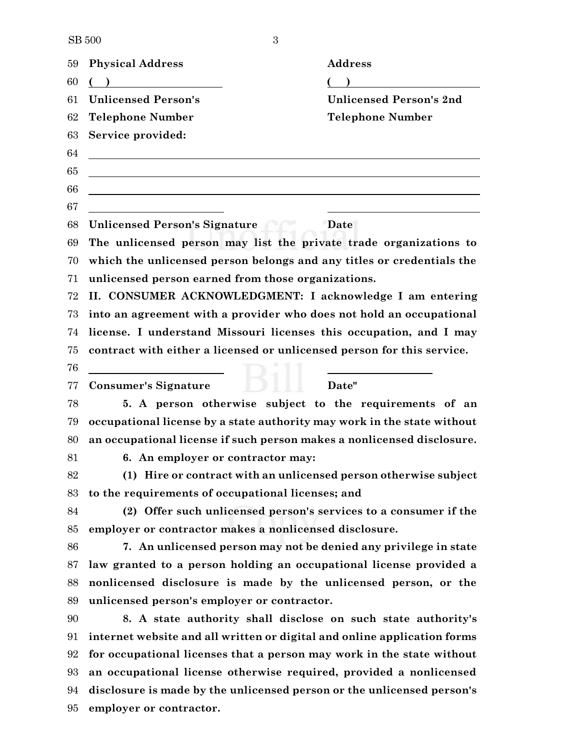SB 3

| 59 | <b>Physical Address</b>                                                  | <b>Address</b>                                                  |  |
|----|--------------------------------------------------------------------------|-----------------------------------------------------------------|--|
| 60 |                                                                          |                                                                 |  |
| 61 | <b>Unlicensed Person's</b>                                               | <b>Unlicensed Person's 2nd</b>                                  |  |
| 62 | <b>Telephone Number</b>                                                  | <b>Telephone Number</b>                                         |  |
| 63 | Service provided:                                                        |                                                                 |  |
| 64 |                                                                          |                                                                 |  |
| 65 |                                                                          |                                                                 |  |
| 66 |                                                                          |                                                                 |  |
| 67 |                                                                          |                                                                 |  |
| 68 | <b>Unlicensed Person's Signature</b>                                     | Date                                                            |  |
| 69 | The unlicensed person may list the private trade organizations to        |                                                                 |  |
| 70 | which the unlicensed person belongs and any titles or credentials the    |                                                                 |  |
| 71 | unlicensed person earned from those organizations.                       |                                                                 |  |
| 72 | II. CONSUMER ACKNOWLEDGMENT: I acknowledge I am entering                 |                                                                 |  |
| 73 | into an agreement with a provider who does not hold an occupational      |                                                                 |  |
| 74 | license. I understand Missouri licenses this occupation, and I may       |                                                                 |  |
| 75 | contract with either a licensed or unlicensed person for this service.   |                                                                 |  |
| 76 |                                                                          |                                                                 |  |
| 77 | <b>Consumer's Signature</b>                                              | Date"                                                           |  |
| 78 | 5. A person otherwise subject to the requirements of an                  |                                                                 |  |
| 79 | occupational license by a state authority may work in the state without  |                                                                 |  |
| 80 | an occupational license if such person makes a nonlicensed disclosure.   |                                                                 |  |
| 81 | 6. An employer or contractor may:                                        |                                                                 |  |
| 82 | (1) Hire or contract with an unlicensed person otherwise subject         |                                                                 |  |
| 83 | to the requirements of occupational licenses; and                        |                                                                 |  |
| 84 | (2) Offer such unlicensed person's services to a consumer if the         |                                                                 |  |
| 85 |                                                                          | employer or contractor makes a nonlicensed disclosure.          |  |
| 86 | 7. An unlicensed person may not be denied any privilege in state         |                                                                 |  |
| 87 | law granted to a person holding an occupational license provided a       |                                                                 |  |
| 88 |                                                                          | nonlicensed disclosure is made by the unlicensed person, or the |  |
| 89 | unlicensed person's employer or contractor.                              |                                                                 |  |
| 90 | 8. A state authority shall disclose on such state authority's            |                                                                 |  |
| 91 | internet website and all written or digital and online application forms |                                                                 |  |
| 92 | for occupational licenses that a person may work in the state without    |                                                                 |  |
| 93 | an occupational license otherwise required, provided a nonlicensed       |                                                                 |  |
| 94 | disclosure is made by the unlicensed person or the unlicensed person's   |                                                                 |  |
| 95 | employer or contractor.                                                  |                                                                 |  |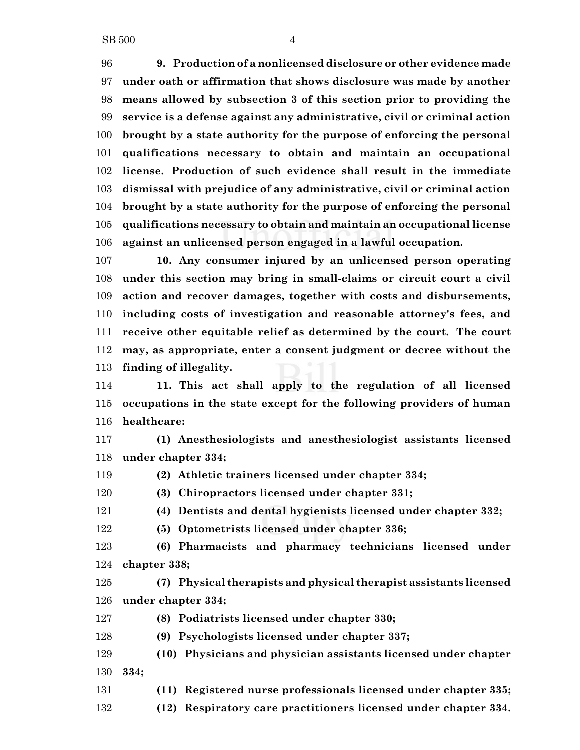**9. Production of a nonlicensed disclosure or other evidence made under oath or affirmation that shows disclosure was made by another means allowed by subsection 3 of this section prior to providing the service is a defense against any administrative, civil or criminal action brought by a state authority for the purpose of enforcing the personal qualifications necessary to obtain and maintain an occupational license. Production of such evidence shall result in the immediate dismissal with prejudice of any administrative, civil or criminal action brought by a state authority for the purpose of enforcing the personal qualifications necessary to obtain and maintain an occupational license against an unlicensed person engaged in a lawful occupation.**

 **10. Any consumer injured by an unlicensed person operating under this section may bring in small-claims or circuit court a civil action and recover damages, together with costs and disbursements, including costs of investigation and reasonable attorney's fees, and receive other equitable relief as determined by the court. The court may, as appropriate, enter a consent judgment or decree without the finding of illegality.**

 **11. This act shall apply to the regulation of all licensed occupations in the state except for the following providers of human healthcare:**

 **(1) Anesthesiologists and anesthesiologist assistants licensed under chapter 334;**

**(2) Athletic trainers licensed under chapter 334;**

**(3) Chiropractors licensed under chapter 331;**

**(4) Dentists and dental hygienists licensed under chapter 332;**

**(5) Optometrists licensed under chapter 336;**

 **(6) Pharmacists and pharmacy technicians licensed under chapter 338;**

 **(7) Physical therapists and physical therapist assistants licensed under chapter 334;**

**(8) Podiatrists licensed under chapter 330;**

**(9) Psychologists licensed under chapter 337;**

 **(10) Physicians and physician assistants licensed under chapter 334;**

**(11) Registered nurse professionals licensed under chapter 335;**

**(12) Respiratory care practitioners licensed under chapter 334.**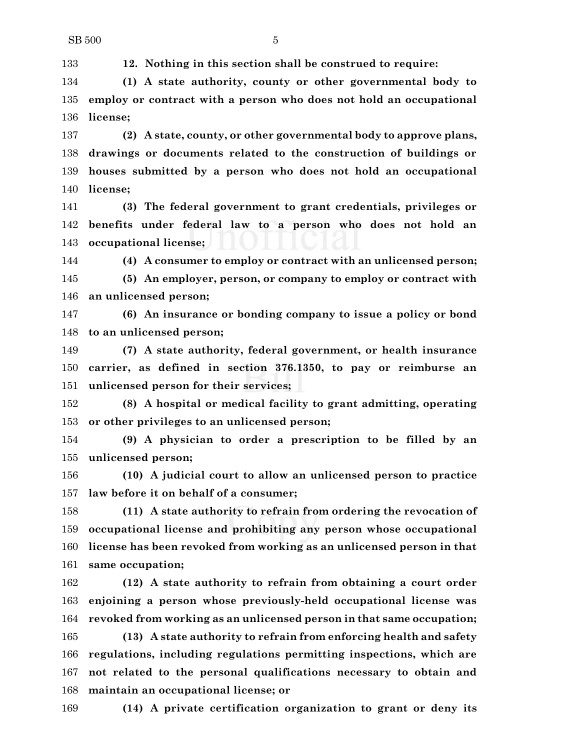**12. Nothing in this section shall be construed to require:**

 **(1) A state authority, county or other governmental body to employ or contract with a person who does not hold an occupational license;**

 **(2) A state, county, or other governmental body to approve plans, drawings or documents related to the construction of buildings or houses submitted by a person who does not hold an occupational license;**

 **(3) The federal government to grant credentials, privileges or benefits under federal law to a person who does not hold an occupational license;**

**(4) A consumer to employ or contract with an unlicensed person;**

 **(5) An employer, person, or company to employ or contract with an unlicensed person;**

 **(6) An insurance or bonding company to issue a policy or bond to an unlicensed person;**

 **(7) A state authority, federal government, or health insurance carrier, as defined in section 376.1350, to pay or reimburse an unlicensed person for their services;**

 **(8) A hospital or medical facility to grant admitting, operating or other privileges to an unlicensed person;**

 **(9) A physician to order a prescription to be filled by an unlicensed person;**

 **(10) A judicial court to allow an unlicensed person to practice law before it on behalf of a consumer;**

 **(11) A state authority to refrain from ordering the revocation of occupational license and prohibiting any person whose occupational license has been revoked from working as an unlicensed person in that same occupation;**

 **(12) A state authority to refrain from obtaining a court order enjoining a person whose previously-held occupational license was revoked from working as an unlicensed person in that same occupation;**

 **(13) A state authority to refrain from enforcing health and safety regulations, including regulations permitting inspections, which are not related to the personal qualifications necessary to obtain and maintain an occupational license; or**

**(14) A private certification organization to grant or deny its**